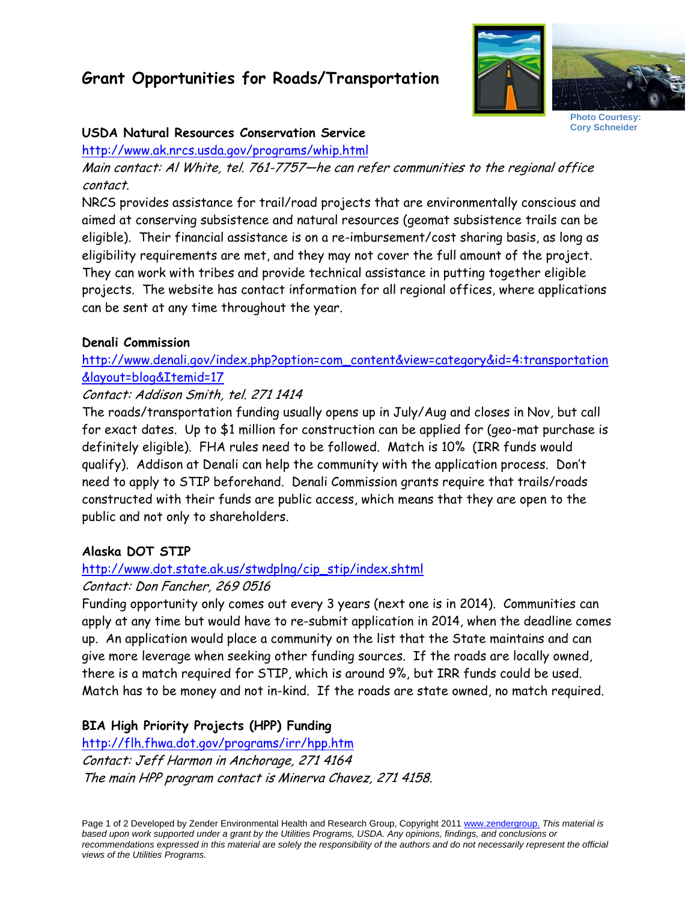# **Grant Opportunities for Roads/Transportation**



**Photo Courtesy: Cory Schneider** 

#### **USDA Natural Resources Conservation Service**

http://www.ak.nrcs.usda.gov/programs/whip.html

Main contact: Al White, tel. 761-7757—he can refer communities to the regional office contact.

NRCS provides assistance for trail/road projects that are environmentally conscious and aimed at conserving subsistence and natural resources (geomat subsistence trails can be eligible). Their financial assistance is on a re-imbursement/cost sharing basis, as long as eligibility requirements are met, and they may not cover the full amount of the project. They can work with tribes and provide technical assistance in putting together eligible projects. The website has contact information for all regional offices, where applications can be sent at any time throughout the year.

#### **Denali Commission**

http://www.denali.gov/index.php?option=com\_content&view=category&id=4:transportation &layout=blog&Itemid=17

# Contact: Addison Smith, tel. 271 1414

The roads/transportation funding usually opens up in July/Aug and closes in Nov, but call for exact dates. Up to \$1 million for construction can be applied for (geo-mat purchase is definitely eligible). FHA rules need to be followed. Match is 10% (IRR funds would qualify). Addison at Denali can help the community with the application process. Don't need to apply to STIP beforehand. Denali Commission grants require that trails/roads constructed with their funds are public access, which means that they are open to the public and not only to shareholders.

## **Alaska DOT STIP**

## http://www.dot.state.ak.us/stwdplng/cip\_stip/index.shtml

#### Contact: Don Fancher, 269 0516

Funding opportunity only comes out every 3 years (next one is in 2014). Communities can apply at any time but would have to re-submit application in 2014, when the deadline comes up. An application would place a community on the list that the State maintains and can give more leverage when seeking other funding sources. If the roads are locally owned, there is a match required for STIP, which is around 9%, but IRR funds could be used. Match has to be money and not in-kind. If the roads are state owned, no match required.

## **BIA High Priority Projects (HPP) Funding**

http://flh.fhwa.dot.gov/programs/irr/hpp.htm Contact: Jeff Harmon in Anchorage, 271 4164 The main HPP program contact is Minerva Chavez, 271 4158.

Page 1 of 2 Developed by Zender Environmental Health and Research Group, Copyright 2011 www.zendergroup. *This material is based upon work supported under a grant by the Utilities Programs, USDA. Any opinions, findings, and conclusions or recommendations expressed in this material are solely the responsibility of the authors and do not necessarily represent the official views of the Utilities Programs.*